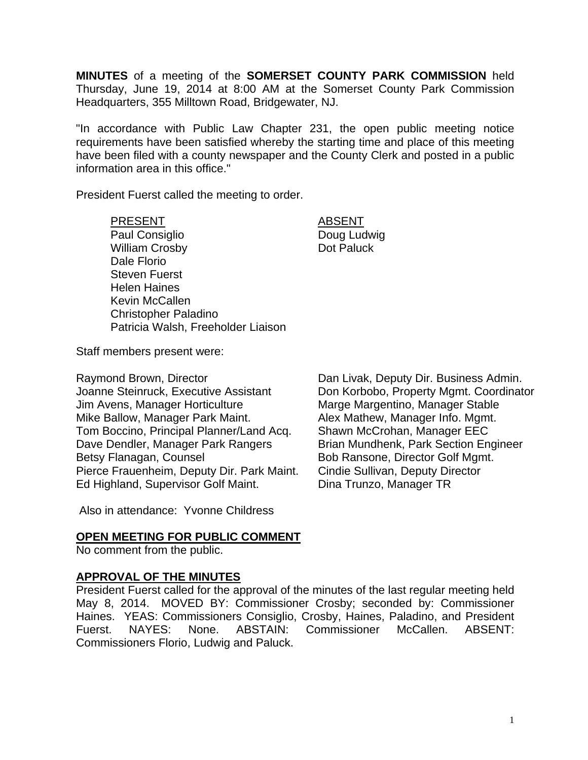**MINUTES** of a meeting of the **SOMERSET COUNTY PARK COMMISSION** held Thursday, June 19, 2014 at 8:00 AM at the Somerset County Park Commission Headquarters, 355 Milltown Road, Bridgewater, NJ.

"In accordance with Public Law Chapter 231, the open public meeting notice requirements have been satisfied whereby the starting time and place of this meeting have been filed with a county newspaper and the County Clerk and posted in a public information area in this office."

President Fuerst called the meeting to order.

#### PRESENT ABSENT

Paul Consiglio **Doug Ludwig** William Crosby **Dot Paluck** Dale Florio Steven Fuerst Helen Haines Kevin McCallen Christopher Paladino Patricia Walsh, Freeholder Liaison

Staff members present were:

Raymond Brown, Director Dan Livak, Deputy Dir. Business Admin. Joanne Steinruck, Executive Assistant Don Korbobo, Property Mgmt. Coordinator Jim Avens, Manager Horticulture Marge Marge Margentino, Manager Stable Mike Ballow, Manager Park Maint. Alex Mathew, Manager Info. Mgmt. Tom Boccino, Principal Planner/Land Acq. Shawn McCrohan, Manager EEC Dave Dendler, Manager Park Rangers Brian Mundhenk, Park Section Engineer Betsy Flanagan, Counsel **Bob Ransone, Director Golf Mgmt.** Pierce Frauenheim, Deputy Dir. Park Maint. Cindie Sullivan, Deputy Director Ed Highland, Supervisor Golf Maint. Dina Trunzo, Manager TR

Also in attendance: Yvonne Childress

# **OPEN MEETING FOR PUBLIC COMMENT**

No comment from the public.

# **APPROVAL OF THE MINUTES**

President Fuerst called for the approval of the minutes of the last regular meeting held May 8, 2014. MOVED BY: Commissioner Crosby; seconded by: Commissioner Haines. YEAS: Commissioners Consiglio, Crosby, Haines, Paladino, and President Fuerst. NAYES: None. ABSTAIN: Commissioner McCallen. ABSENT: Commissioners Florio, Ludwig and Paluck.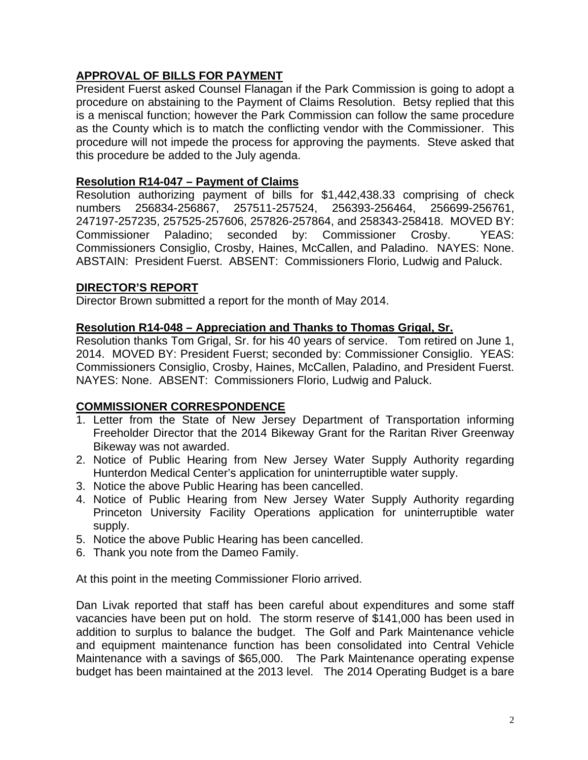# **APPROVAL OF BILLS FOR PAYMENT**

President Fuerst asked Counsel Flanagan if the Park Commission is going to adopt a procedure on abstaining to the Payment of Claims Resolution. Betsy replied that this is a meniscal function; however the Park Commission can follow the same procedure as the County which is to match the conflicting vendor with the Commissioner. This procedure will not impede the process for approving the payments. Steve asked that this procedure be added to the July agenda.

## **Resolution R14-047 – Payment of Claims**

Resolution authorizing payment of bills for \$1,442,438.33 comprising of check numbers 256834-256867, 257511-257524, 256393-256464, 256699-256761, 247197-257235, 257525-257606, 257826-257864, and 258343-258418. MOVED BY: Commissioner Paladino; seconded by: Commissioner Crosby. YEAS: Commissioners Consiglio, Crosby, Haines, McCallen, and Paladino. NAYES: None. ABSTAIN: President Fuerst. ABSENT: Commissioners Florio, Ludwig and Paluck.

# **DIRECTOR'S REPORT**

Director Brown submitted a report for the month of May 2014.

### **Resolution R14-048 – Appreciation and Thanks to Thomas Grigal, Sr.**

Resolution thanks Tom Grigal, Sr. for his 40 years of service. Tom retired on June 1, 2014. MOVED BY: President Fuerst; seconded by: Commissioner Consiglio. YEAS: Commissioners Consiglio, Crosby, Haines, McCallen, Paladino, and President Fuerst. NAYES: None. ABSENT: Commissioners Florio, Ludwig and Paluck.

# **COMMISSIONER CORRESPONDENCE**

- 1. Letter from the State of New Jersey Department of Transportation informing Freeholder Director that the 2014 Bikeway Grant for the Raritan River Greenway Bikeway was not awarded.
- 2. Notice of Public Hearing from New Jersey Water Supply Authority regarding Hunterdon Medical Center's application for uninterruptible water supply.
- 3. Notice the above Public Hearing has been cancelled.
- 4. Notice of Public Hearing from New Jersey Water Supply Authority regarding Princeton University Facility Operations application for uninterruptible water supply.
- 5. Notice the above Public Hearing has been cancelled.
- 6. Thank you note from the Dameo Family.

At this point in the meeting Commissioner Florio arrived.

Dan Livak reported that staff has been careful about expenditures and some staff vacancies have been put on hold. The storm reserve of \$141,000 has been used in addition to surplus to balance the budget. The Golf and Park Maintenance vehicle and equipment maintenance function has been consolidated into Central Vehicle Maintenance with a savings of \$65,000. The Park Maintenance operating expense budget has been maintained at the 2013 level. The 2014 Operating Budget is a bare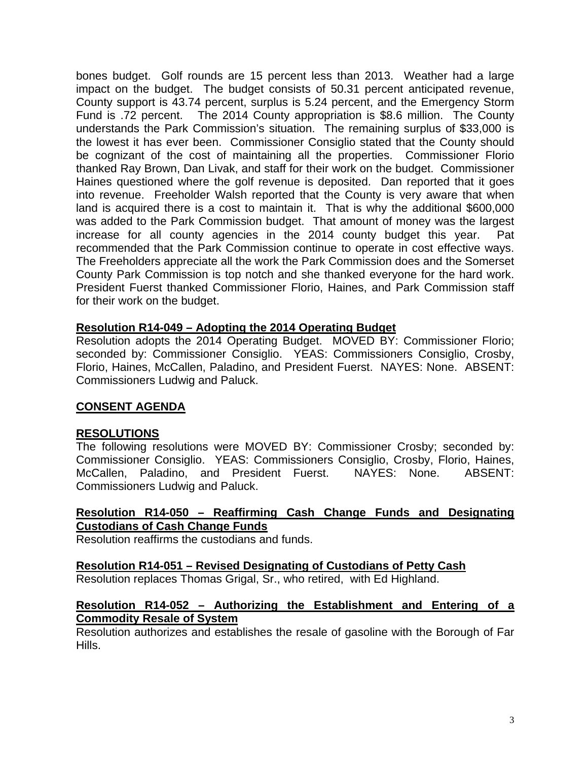bones budget. Golf rounds are 15 percent less than 2013. Weather had a large impact on the budget. The budget consists of 50.31 percent anticipated revenue, County support is 43.74 percent, surplus is 5.24 percent, and the Emergency Storm Fund is .72 percent. The 2014 County appropriation is \$8.6 million. The County understands the Park Commission's situation. The remaining surplus of \$33,000 is the lowest it has ever been. Commissioner Consiglio stated that the County should be cognizant of the cost of maintaining all the properties. Commissioner Florio thanked Ray Brown, Dan Livak, and staff for their work on the budget. Commissioner Haines questioned where the golf revenue is deposited. Dan reported that it goes into revenue. Freeholder Walsh reported that the County is very aware that when land is acquired there is a cost to maintain it. That is why the additional \$600,000 was added to the Park Commission budget. That amount of money was the largest increase for all county agencies in the 2014 county budget this year. Pat recommended that the Park Commission continue to operate in cost effective ways. The Freeholders appreciate all the work the Park Commission does and the Somerset County Park Commission is top notch and she thanked everyone for the hard work. President Fuerst thanked Commissioner Florio, Haines, and Park Commission staff for their work on the budget.

### **Resolution R14-049 – Adopting the 2014 Operating Budget**

Resolution adopts the 2014 Operating Budget. MOVED BY: Commissioner Florio; seconded by: Commissioner Consiglio. YEAS: Commissioners Consiglio, Crosby, Florio, Haines, McCallen, Paladino, and President Fuerst. NAYES: None. ABSENT: Commissioners Ludwig and Paluck.

### **CONSENT AGENDA**

### **RESOLUTIONS**

The following resolutions were MOVED BY: Commissioner Crosby; seconded by: Commissioner Consiglio. YEAS: Commissioners Consiglio, Crosby, Florio, Haines, McCallen, Paladino, and President Fuerst. NAYES: None. ABSENT: Commissioners Ludwig and Paluck.

## **Resolution R14-050 – Reaffirming Cash Change Funds and Designating Custodians of Cash Change Funds**

Resolution reaffirms the custodians and funds.

### **Resolution R14-051 – Revised Designating of Custodians of Petty Cash**

Resolution replaces Thomas Grigal, Sr., who retired, with Ed Highland.

#### **Resolution R14-052 – Authorizing the Establishment and Entering of a Commodity Resale of System**

Resolution authorizes and establishes the resale of gasoline with the Borough of Far Hills.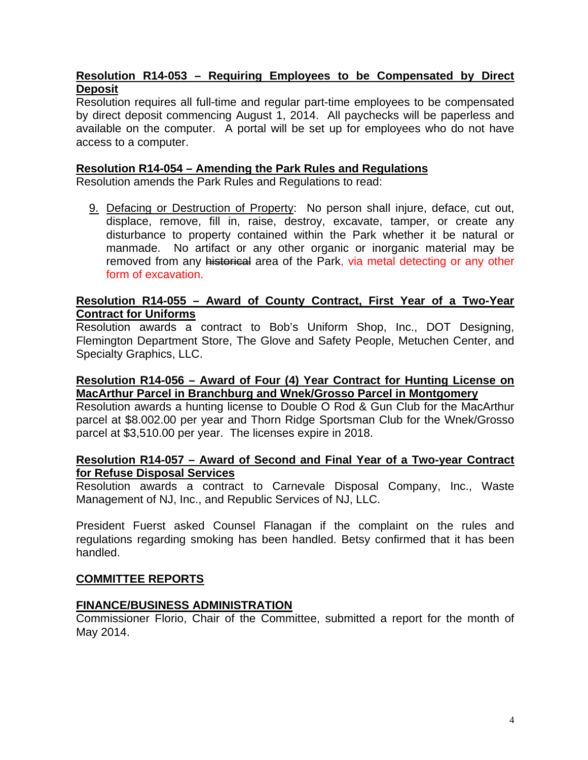# **Resolution R14-053 – Requiring Employees to be Compensated by Direct Deposit**

Resolution requires all full-time and regular part-time employees to be compensated by direct deposit commencing August 1, 2014. All paychecks will be paperless and available on the computer. A portal will be set up for employees who do not have access to a computer.

#### **Resolution R14-054 – Amending the Park Rules and Regulations**

Resolution amends the Park Rules and Regulations to read:

9. Defacing or Destruction of Property: No person shall injure, deface, cut out, displace, remove, fill in, raise, destroy, excavate, tamper, or create any disturbance to property contained within the Park whether it be natural or manmade. No artifact or any other organic or inorganic material may be removed from any historical area of the Park, via metal detecting or any other form of excavation.

#### **Resolution R14-055 – Award of County Contract, First Year of a Two-Year Contract for Uniforms**

Resolution awards a contract to Bob's Uniform Shop, Inc., DOT Designing, Flemington Department Store, The Glove and Safety People, Metuchen Center, and Specialty Graphics, LLC.

#### **Resolution R14-056 – Award of Four (4) Year Contract for Hunting License on MacArthur Parcel in Branchburg and Wnek/Grosso Parcel in Montgomery**

Resolution awards a hunting license to Double O Rod & Gun Club for the MacArthur parcel at \$8.002.00 per year and Thorn Ridge Sportsman Club for the Wnek/Grosso parcel at \$3,510.00 per year. The licenses expire in 2018.

### **Resolution R14-057 – Award of Second and Final Year of a Two-year Contract for Refuse Disposal Services**

Resolution awards a contract to Carnevale Disposal Company, Inc., Waste Management of NJ, Inc., and Republic Services of NJ, LLC.

President Fuerst asked Counsel Flanagan if the complaint on the rules and regulations regarding smoking has been handled. Betsy confirmed that it has been handled.

### **COMMITTEE REPORTS**

### **FINANCE/BUSINESS ADMINISTRATION**

Commissioner Florio, Chair of the Committee, submitted a report for the month of May 2014.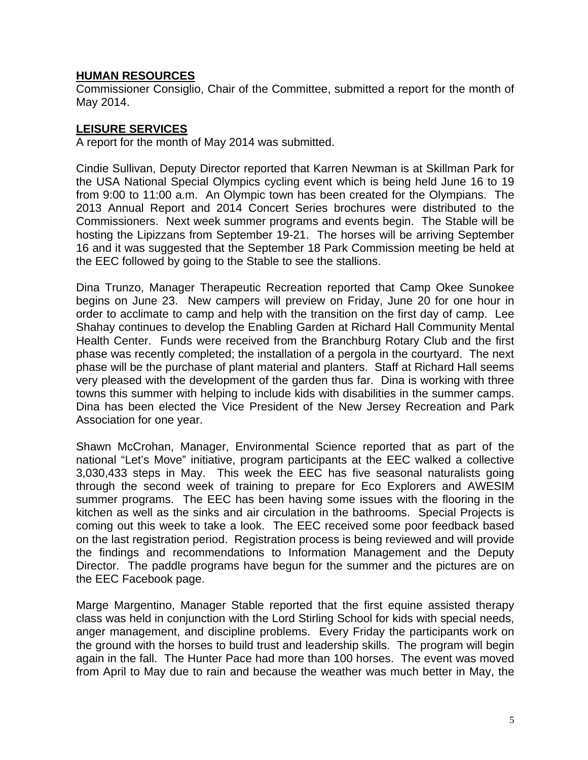## **HUMAN RESOURCES**

Commissioner Consiglio, Chair of the Committee, submitted a report for the month of May 2014.

# **LEISURE SERVICES**

A report for the month of May 2014 was submitted.

Cindie Sullivan, Deputy Director reported that Karren Newman is at Skillman Park for the USA National Special Olympics cycling event which is being held June 16 to 19 from 9:00 to 11:00 a.m. An Olympic town has been created for the Olympians. The 2013 Annual Report and 2014 Concert Series brochures were distributed to the Commissioners. Next week summer programs and events begin. The Stable will be hosting the Lipizzans from September 19-21. The horses will be arriving September 16 and it was suggested that the September 18 Park Commission meeting be held at the EEC followed by going to the Stable to see the stallions.

Dina Trunzo, Manager Therapeutic Recreation reported that Camp Okee Sunokee begins on June 23. New campers will preview on Friday, June 20 for one hour in order to acclimate to camp and help with the transition on the first day of camp. Lee Shahay continues to develop the Enabling Garden at Richard Hall Community Mental Health Center. Funds were received from the Branchburg Rotary Club and the first phase was recently completed; the installation of a pergola in the courtyard. The next phase will be the purchase of plant material and planters. Staff at Richard Hall seems very pleased with the development of the garden thus far. Dina is working with three towns this summer with helping to include kids with disabilities in the summer camps. Dina has been elected the Vice President of the New Jersey Recreation and Park Association for one year.

Shawn McCrohan, Manager, Environmental Science reported that as part of the national "Let's Move" initiative, program participants at the EEC walked a collective 3,030,433 steps in May. This week the EEC has five seasonal naturalists going through the second week of training to prepare for Eco Explorers and AWESIM summer programs. The EEC has been having some issues with the flooring in the kitchen as well as the sinks and air circulation in the bathrooms. Special Projects is coming out this week to take a look. The EEC received some poor feedback based on the last registration period. Registration process is being reviewed and will provide the findings and recommendations to Information Management and the Deputy Director. The paddle programs have begun for the summer and the pictures are on the EEC Facebook page.

Marge Margentino, Manager Stable reported that the first equine assisted therapy class was held in conjunction with the Lord Stirling School for kids with special needs, anger management, and discipline problems. Every Friday the participants work on the ground with the horses to build trust and leadership skills. The program will begin again in the fall. The Hunter Pace had more than 100 horses. The event was moved from April to May due to rain and because the weather was much better in May, the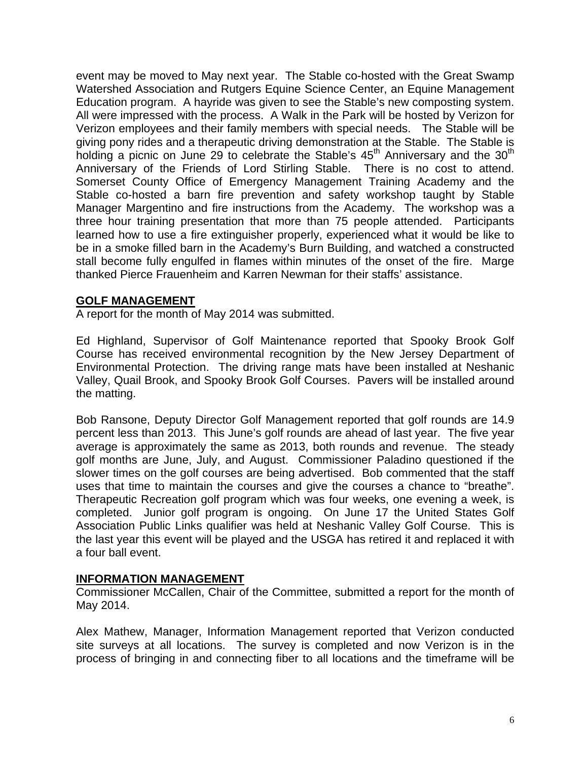event may be moved to May next year. The Stable co-hosted with the Great Swamp Watershed Association and Rutgers Equine Science Center, an Equine Management Education program. A hayride was given to see the Stable's new composting system. All were impressed with the process. A Walk in the Park will be hosted by Verizon for Verizon employees and their family members with special needs. The Stable will be giving pony rides and a therapeutic driving demonstration at the Stable. The Stable is holding a picnic on June 29 to celebrate the Stable's  $45<sup>th</sup>$  Anniversary and the  $30<sup>th</sup>$ Anniversary of the Friends of Lord Stirling Stable. There is no cost to attend. Somerset County Office of Emergency Management Training Academy and the Stable co-hosted a barn fire prevention and safety workshop taught by Stable Manager Margentino and fire instructions from the Academy. The workshop was a three hour training presentation that more than 75 people attended. Participants learned how to use a fire extinguisher properly, experienced what it would be like to be in a smoke filled barn in the Academy's Burn Building, and watched a constructed stall become fully engulfed in flames within minutes of the onset of the fire. Marge thanked Pierce Frauenheim and Karren Newman for their staffs' assistance.

#### **GOLF MANAGEMENT**

A report for the month of May 2014 was submitted.

Ed Highland, Supervisor of Golf Maintenance reported that Spooky Brook Golf Course has received environmental recognition by the New Jersey Department of Environmental Protection. The driving range mats have been installed at Neshanic Valley, Quail Brook, and Spooky Brook Golf Courses. Pavers will be installed around the matting.

Bob Ransone, Deputy Director Golf Management reported that golf rounds are 14.9 percent less than 2013. This June's golf rounds are ahead of last year. The five year average is approximately the same as 2013, both rounds and revenue. The steady golf months are June, July, and August. Commissioner Paladino questioned if the slower times on the golf courses are being advertised. Bob commented that the staff uses that time to maintain the courses and give the courses a chance to "breathe". Therapeutic Recreation golf program which was four weeks, one evening a week, is completed. Junior golf program is ongoing. On June 17 the United States Golf Association Public Links qualifier was held at Neshanic Valley Golf Course. This is the last year this event will be played and the USGA has retired it and replaced it with a four ball event.

#### **INFORMATION MANAGEMENT**

Commissioner McCallen, Chair of the Committee, submitted a report for the month of May 2014.

Alex Mathew, Manager, Information Management reported that Verizon conducted site surveys at all locations. The survey is completed and now Verizon is in the process of bringing in and connecting fiber to all locations and the timeframe will be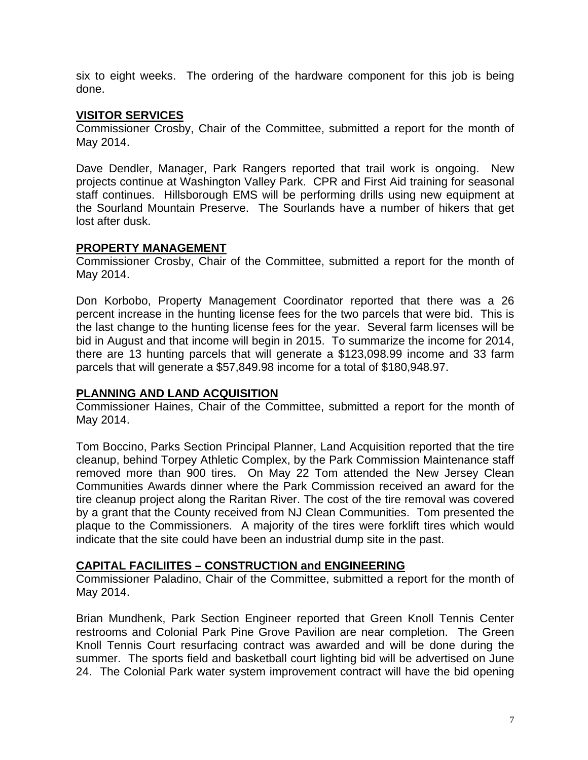six to eight weeks. The ordering of the hardware component for this job is being done.

#### **VISITOR SERVICES**

Commissioner Crosby, Chair of the Committee, submitted a report for the month of May 2014.

Dave Dendler, Manager, Park Rangers reported that trail work is ongoing. New projects continue at Washington Valley Park. CPR and First Aid training for seasonal staff continues. Hillsborough EMS will be performing drills using new equipment at the Sourland Mountain Preserve. The Sourlands have a number of hikers that get lost after dusk.

### **PROPERTY MANAGEMENT**

Commissioner Crosby, Chair of the Committee, submitted a report for the month of May 2014.

Don Korbobo, Property Management Coordinator reported that there was a 26 percent increase in the hunting license fees for the two parcels that were bid. This is the last change to the hunting license fees for the year. Several farm licenses will be bid in August and that income will begin in 2015. To summarize the income for 2014, there are 13 hunting parcels that will generate a \$123,098.99 income and 33 farm parcels that will generate a \$57,849.98 income for a total of \$180,948.97.

### **PLANNING AND LAND ACQUISITION**

Commissioner Haines, Chair of the Committee, submitted a report for the month of May 2014.

Tom Boccino, Parks Section Principal Planner, Land Acquisition reported that the tire cleanup, behind Torpey Athletic Complex, by the Park Commission Maintenance staff removed more than 900 tires. On May 22 Tom attended the New Jersey Clean Communities Awards dinner where the Park Commission received an award for the tire cleanup project along the Raritan River. The cost of the tire removal was covered by a grant that the County received from NJ Clean Communities. Tom presented the plaque to the Commissioners. A majority of the tires were forklift tires which would indicate that the site could have been an industrial dump site in the past.

### **CAPITAL FACILIITES – CONSTRUCTION and ENGINEERING**

Commissioner Paladino, Chair of the Committee, submitted a report for the month of May 2014.

Brian Mundhenk, Park Section Engineer reported that Green Knoll Tennis Center restrooms and Colonial Park Pine Grove Pavilion are near completion. The Green Knoll Tennis Court resurfacing contract was awarded and will be done during the summer. The sports field and basketball court lighting bid will be advertised on June 24. The Colonial Park water system improvement contract will have the bid opening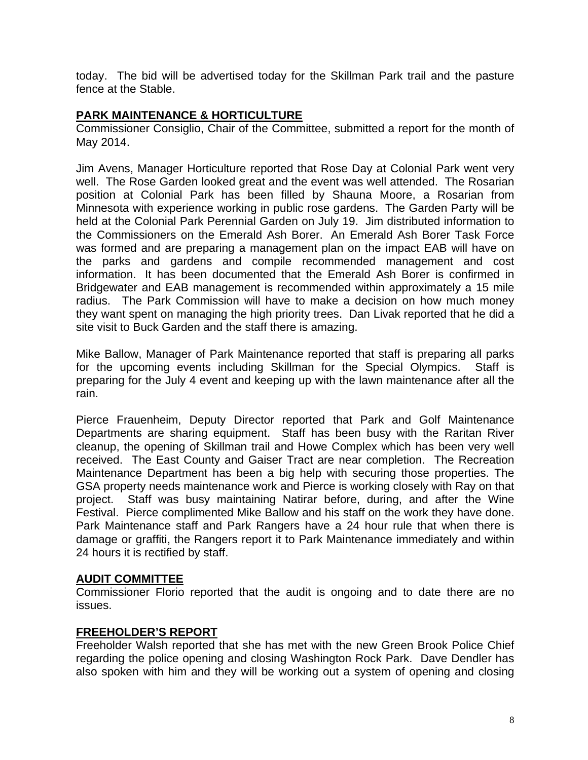today. The bid will be advertised today for the Skillman Park trail and the pasture fence at the Stable.

### **PARK MAINTENANCE & HORTICULTURE**

Commissioner Consiglio, Chair of the Committee, submitted a report for the month of May 2014.

Jim Avens, Manager Horticulture reported that Rose Day at Colonial Park went very well. The Rose Garden looked great and the event was well attended. The Rosarian position at Colonial Park has been filled by Shauna Moore, a Rosarian from Minnesota with experience working in public rose gardens. The Garden Party will be held at the Colonial Park Perennial Garden on July 19. Jim distributed information to the Commissioners on the Emerald Ash Borer. An Emerald Ash Borer Task Force was formed and are preparing a management plan on the impact EAB will have on the parks and gardens and compile recommended management and cost information. It has been documented that the Emerald Ash Borer is confirmed in Bridgewater and EAB management is recommended within approximately a 15 mile radius. The Park Commission will have to make a decision on how much money they want spent on managing the high priority trees. Dan Livak reported that he did a site visit to Buck Garden and the staff there is amazing.

Mike Ballow, Manager of Park Maintenance reported that staff is preparing all parks for the upcoming events including Skillman for the Special Olympics. Staff is preparing for the July 4 event and keeping up with the lawn maintenance after all the rain.

Pierce Frauenheim, Deputy Director reported that Park and Golf Maintenance Departments are sharing equipment. Staff has been busy with the Raritan River cleanup, the opening of Skillman trail and Howe Complex which has been very well received. The East County and Gaiser Tract are near completion. The Recreation Maintenance Department has been a big help with securing those properties. The GSA property needs maintenance work and Pierce is working closely with Ray on that project. Staff was busy maintaining Natirar before, during, and after the Wine Festival. Pierce complimented Mike Ballow and his staff on the work they have done. Park Maintenance staff and Park Rangers have a 24 hour rule that when there is damage or graffiti, the Rangers report it to Park Maintenance immediately and within 24 hours it is rectified by staff.

### **AUDIT COMMITTEE**

Commissioner Florio reported that the audit is ongoing and to date there are no issues.

### **FREEHOLDER'S REPORT**

Freeholder Walsh reported that she has met with the new Green Brook Police Chief regarding the police opening and closing Washington Rock Park. Dave Dendler has also spoken with him and they will be working out a system of opening and closing